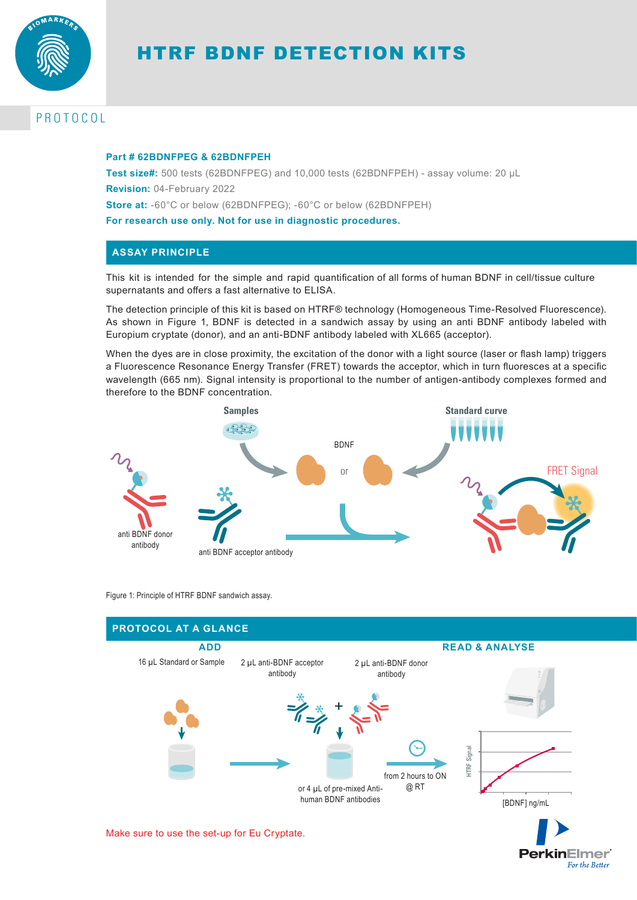

# HTRF BDNF DETECTION KITS

# PROTOCOL

#### **Part # 62BDNFPEG & 62BDNFPEH**

**Test size#:** 500 tests (62BDNFPEG) and 10,000 tests (62BDNFPEH) - assay volume: 20 µL **Revision:** 04-February 2022 **Store at:** -60°C or below (62BDNFPEG); -60°C or below (62BDNFPEH)

**For research use only. Not for use in diagnostic procedures.**

## **ASSAY PRINCIPLE**

This kit is intended for the simple and rapid quantification of all forms of human BDNF in cell/tissue culture supernatants and offers a fast alternative to ELISA.

The detection principle of this kit is based on HTRF® technology (Homogeneous Time-Resolved Fluorescence). As shown in Figure 1, BDNF is detected in a sandwich assay by using an anti BDNF antibody labeled with Europium cryptate (donor), and an anti-BDNF antibody labeled with XL665 (acceptor).

When the dyes are in close proximity, the excitation of the donor with a light source (laser or flash lamp) triggers a Fluorescence Resonance Energy Transfer (FRET) towards the acceptor, which in turn fluoresces at a specific wavelength (665 nm). Signal intensity is proportional to the number of antigen-antibody complexes formed and therefore to the BDNF concentration.



Figure 1: Principle of HTRF BDNF sandwich assay.



Make sure to use the set-up for Eu Cryptate.

**PerkinElmer** For the Better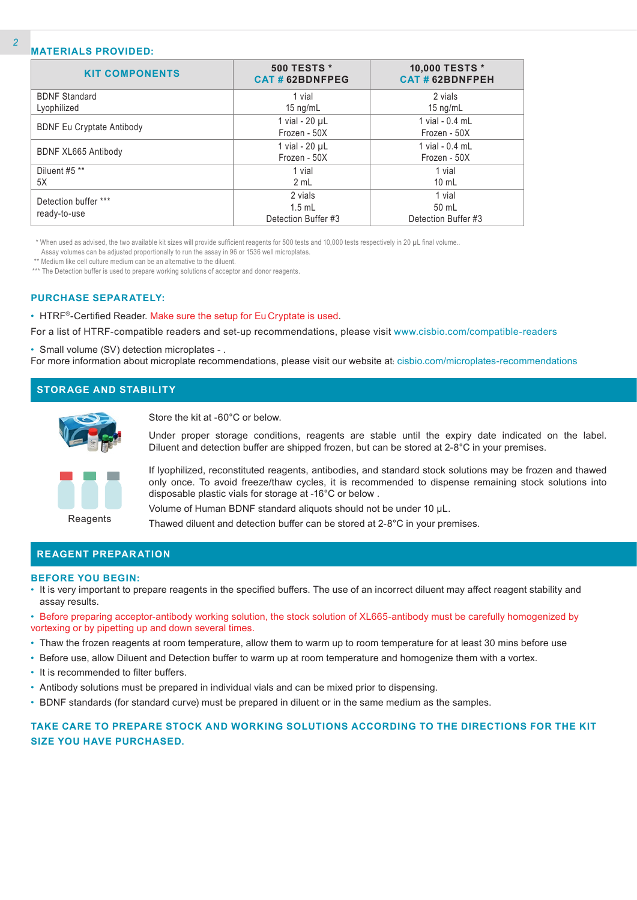#### **MATERIALS PROVIDED:**

| <b>KIT COMPONENTS</b>            | <b>500 TESTS *</b><br>CAT#62BDNFPEG | 10,000 TESTS *<br><b>CAT#62BDNFPEH</b> |  |
|----------------------------------|-------------------------------------|----------------------------------------|--|
| <b>BDNF Standard</b>             | 1 vial                              | 2 vials                                |  |
| Lyophilized                      | 15 $ng/mL$                          | 15 $ng/mL$                             |  |
|                                  | 1 vial - $20 \mu L$                 | 1 vial - 0.4 mL                        |  |
| <b>BDNF Eu Cryptate Antibody</b> | Frozen - 50X                        | Frozen - 50X                           |  |
|                                  | 1 vial - $20 \mu L$                 | 1 vial - 0.4 mL                        |  |
| BDNF XL665 Antibody              | Frozen - 50X                        | Frozen - 50X                           |  |
| Diluent #5 **                    | 1 vial                              | 1 vial                                 |  |
| 5X                               | 2 mL                                | $10 \text{ mL}$                        |  |
| Detection buffer ***             | 2 vials                             | 1 vial                                 |  |
|                                  | $1.5$ mL                            | 50 mL                                  |  |
| ready-to-use                     | Detection Buffer #3                 | Detection Buffer #3                    |  |

\* When used as advised, the two available kit sizes will provide sufficient reagents for 500 tests and 10,000 tests respectively in 20 µL final volume..

Assay volumes can be adjusted proportionally to run the assay in 96 or 1536 well microplates.

\*\* Medium like cell culture medium can be an alternative to the diluent.

\*\*\* The Detection buffer is used to prepare working solutions of acceptor and donor reagents.

#### **PURCHASE SEPARATELY:**

• HTRF®-Certified Reader. Make sure the setup for Eu Cryptate is used.

For a list of HTRF-compatible readers and set-up recommendations, please visit www.cisbio.com/compatible-readers

• Small volume (SV) detection microplates - .

For more information about microplate recommendations, please visit our website at: cisbio.com/microplates-recommendations

# **STORAGE AND STABILITY**



Store the kit at -60°C or below.

Under proper storage conditions, reagents are stable until the expiry date indicated on the label. Diluent and detection buffer are shipped frozen, but can be stored at 2-8°C in your premises.



If lyophilized, reconstituted reagents, antibodies, and standard stock solutions may be frozen and thawed only once. To avoid freeze/thaw cycles, it is recommended to dispense remaining stock solutions into disposable plastic vials for storage at -16°C or below .

Volume of Human BDNF standard aliquots should not be under 10 µL.

Thawed diluent and detection buffer can be stored at 2-8°C in your premises.

#### **REAGENT PREPARATION**

#### **BEFORE YOU BEGIN:**

- It is very important to prepare reagents in the specified buffers. The use of an incorrect diluent may affect reagent stability and assay results.
- Before preparing acceptor-antibody working solution, the stock solution of XL665-antibody must be carefully homogenized by vortexing or by pipetting up and down several times.
- Thaw the frozen reagents at room temperature, allow them to warm up to room temperature for at least 30 mins before use
- Before use, allow Diluent and Detection buffer to warm up at room temperature and homogenize them with a vortex.
- It is recommended to filter buffers.
- Antibody solutions must be prepared in individual vials and can be mixed prior to dispensing.
- BDNF standards (for standard curve) must be prepared in diluent or in the same medium as the samples.

## **TAKE CARE TO PREPARE STOCK AND WORKING SOLUTIONS ACCORDING TO THE DIRECTIONS FOR THE KIT SIZE YOU HAVE PURCHASED.**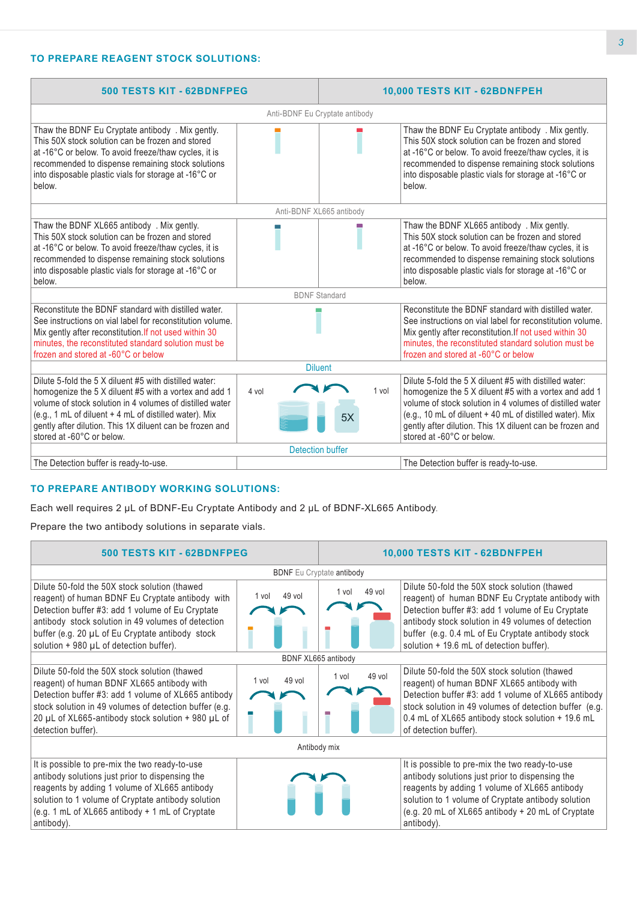# **TO PREPARE REAGENT STOCK SOLUTIONS:**

| 500 TESTS KIT - 62BDNFPEG                                                                                                                                                                                                                                                                                                      |                          | 10,000 TESTS KIT - 62BDNFPEH |                                                                                                                                                                                                                                                                                                                                  |  |  |  |
|--------------------------------------------------------------------------------------------------------------------------------------------------------------------------------------------------------------------------------------------------------------------------------------------------------------------------------|--------------------------|------------------------------|----------------------------------------------------------------------------------------------------------------------------------------------------------------------------------------------------------------------------------------------------------------------------------------------------------------------------------|--|--|--|
| Anti-BDNF Eu Cryptate antibody                                                                                                                                                                                                                                                                                                 |                          |                              |                                                                                                                                                                                                                                                                                                                                  |  |  |  |
| Thaw the BDNF Eu Cryptate antibody . Mix gently.<br>This 50X stock solution can be frozen and stored<br>at -16°C or below. To avoid freeze/thaw cycles, it is<br>recommended to dispense remaining stock solutions<br>into disposable plastic vials for storage at -16°C or<br>below.                                          |                          |                              | Thaw the BDNF Eu Cryptate antibody . Mix gently.<br>This 50X stock solution can be frozen and stored<br>at -16°C or below. To avoid freeze/thaw cycles, it is<br>recommended to dispense remaining stock solutions<br>into disposable plastic vials for storage at -16°C or<br>below.                                            |  |  |  |
|                                                                                                                                                                                                                                                                                                                                | Anti-BDNF XL665 antibody |                              |                                                                                                                                                                                                                                                                                                                                  |  |  |  |
| Thaw the BDNF XL665 antibody . Mix gently.<br>This 50X stock solution can be frozen and stored<br>at -16°C or below. To avoid freeze/thaw cycles, it is<br>recommended to dispense remaining stock solutions<br>into disposable plastic vials for storage at -16°C or<br>below.                                                |                          |                              | Thaw the BDNF XL665 antibody . Mix gently.<br>This 50X stock solution can be frozen and stored<br>at -16°C or below. To avoid freeze/thaw cycles, it is<br>recommended to dispense remaining stock solutions<br>into disposable plastic vials for storage at -16°C or<br>below.                                                  |  |  |  |
|                                                                                                                                                                                                                                                                                                                                | <b>BDNF Standard</b>     |                              |                                                                                                                                                                                                                                                                                                                                  |  |  |  |
| Reconstitute the BDNF standard with distilled water.<br>See instructions on vial label for reconstitution volume.<br>Mix gently after reconstitution. If not used within 30<br>minutes, the reconstituted standard solution must be<br>frozen and stored at -60°C or below                                                     |                          |                              | Reconstitute the BDNF standard with distilled water.<br>See instructions on vial label for reconstitution volume.<br>Mix gently after reconstitution. If not used within 30<br>minutes, the reconstituted standard solution must be<br>frozen and stored at -60°C or below                                                       |  |  |  |
| <b>Diluent</b>                                                                                                                                                                                                                                                                                                                 |                          |                              |                                                                                                                                                                                                                                                                                                                                  |  |  |  |
| Dilute 5-fold the 5 X diluent #5 with distilled water:<br>homogenize the 5 X diluent #5 with a vortex and add 1<br>volume of stock solution in 4 volumes of distilled water<br>(e.g., 1 mL of diluent + 4 mL of distilled water). Mix<br>gently after dilution. This 1X diluent can be frozen and<br>stored at -60°C or below. | 4 vol                    | 1 vol<br>5X                  | Dilute 5-fold the 5 X diluent #5 with distilled water:<br>homogenize the 5 X diluent #5 with a vortex and add 1<br>volume of stock solution in 4 volumes of distilled water<br>(e.g., 10 mL of diluent + 40 mL of distilled water). Mix<br>gently after dilution. This 1X diluent can be frozen and<br>stored at -60°C or below. |  |  |  |
| Detection buffer                                                                                                                                                                                                                                                                                                               |                          |                              |                                                                                                                                                                                                                                                                                                                                  |  |  |  |
| The Detection buffer is ready-to-use.                                                                                                                                                                                                                                                                                          |                          |                              | The Detection buffer is ready-to-use.                                                                                                                                                                                                                                                                                            |  |  |  |

## **TO PREPARE ANTIBODY WORKING SOLUTIONS:**

Each well requires 2 µL of BDNF-Eu Cryptate Antibody and 2 µL of BDNF-XL665 Antibody.

Prepare the two antibody solutions in separate vials.

| 500 TESTS KIT - 62BDNFPEG                                                                                                                                                                                                                                                                                         |                                         | 10,000 TESTS KIT - 62BDNFPEH |                                                                                                                                                                                                                                                                                                              |  |  |  |
|-------------------------------------------------------------------------------------------------------------------------------------------------------------------------------------------------------------------------------------------------------------------------------------------------------------------|-----------------------------------------|------------------------------|--------------------------------------------------------------------------------------------------------------------------------------------------------------------------------------------------------------------------------------------------------------------------------------------------------------|--|--|--|
|                                                                                                                                                                                                                                                                                                                   | <b>BDNF</b> Eu Cryptate <b>antibody</b> |                              |                                                                                                                                                                                                                                                                                                              |  |  |  |
| Dilute 50-fold the 50X stock solution (thawed<br>reagent) of human BDNF Eu Cryptate antibody with<br>Detection buffer #3: add 1 volume of Eu Cryptate<br>antibody stock solution in 49 volumes of detection<br>buffer (e.g. 20 µL of Eu Cryptate antibody stock<br>solution $+$ 980 $\mu$ L of detection buffer). | 49 vol<br>1 vol                         | $49$ vol<br>1 vol            | Dilute 50-fold the 50X stock solution (thawed<br>reagent) of human BDNF Eu Cryptate antibody with<br>Detection buffer #3: add 1 volume of Eu Cryptate<br>antibody stock solution in 49 volumes of detection<br>buffer (e.g. 0.4 mL of Eu Cryptate antibody stock<br>solution + 19.6 mL of detection buffer). |  |  |  |
|                                                                                                                                                                                                                                                                                                                   | BDNF XL665 antibody                     |                              |                                                                                                                                                                                                                                                                                                              |  |  |  |
| Dilute 50-fold the 50X stock solution (thawed<br>reagent) of human BDNF XL665 antibody with<br>Detection buffer #3: add 1 volume of XL665 antibody<br>stock solution in 49 volumes of detection buffer (e.g.<br>20 µL of XL665-antibody stock solution + 980 µL of<br>detection buffer).                          | 49 vol<br>1 vol                         | 49 vol<br>1 vol              | Dilute 50-fold the 50X stock solution (thawed<br>reagent) of human BDNF XL665 antibody with<br>Detection buffer #3: add 1 volume of XL665 antibody<br>stock solution in 49 volumes of detection buffer (e.g.<br>0.4 mL of XL665 antibody stock solution + 19.6 mL<br>of detection buffer).                   |  |  |  |
| Antibody mix                                                                                                                                                                                                                                                                                                      |                                         |                              |                                                                                                                                                                                                                                                                                                              |  |  |  |
| It is possible to pre-mix the two ready-to-use<br>antibody solutions just prior to dispensing the<br>reagents by adding 1 volume of XL665 antibody<br>solution to 1 volume of Cryptate antibody solution<br>(e.g. 1 mL of XL665 antibody + 1 mL of Cryptate<br>antibody).                                         |                                         |                              | It is possible to pre-mix the two ready-to-use<br>antibody solutions just prior to dispensing the<br>reagents by adding 1 volume of XL665 antibody<br>solution to 1 volume of Cryptate antibody solution<br>(e.g. 20 mL of XL665 antibody + 20 mL of Cryptate<br>antibody).                                  |  |  |  |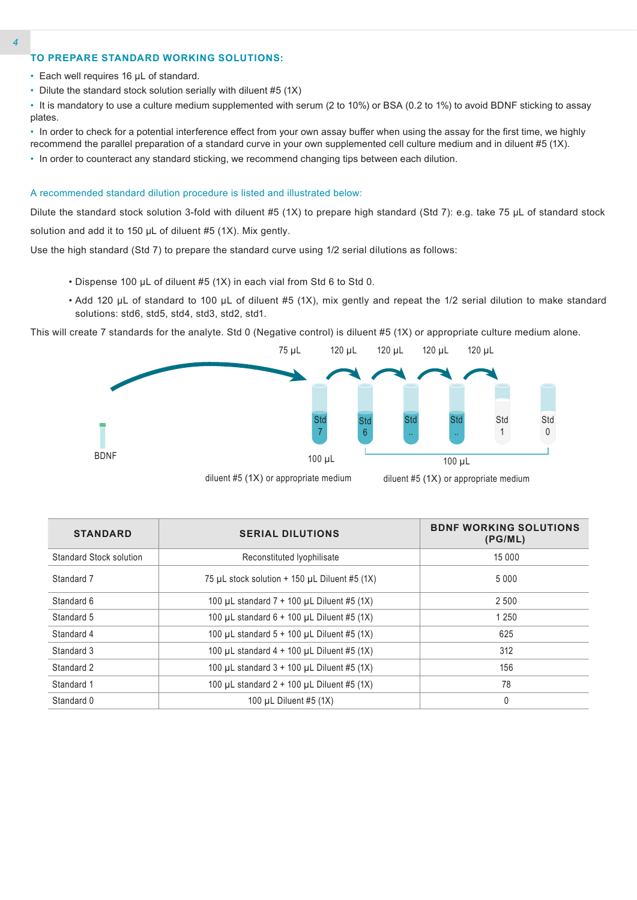# **TO PREPARE STANDARD WORKING SOLUTIONS:**

- Each well requires 16 µL of standard.
- Dilute the standard stock solution serially with diluent #5 (1X)

• It is mandatory to use a culture medium supplemented with serum (2 to 10%) or BSA (0.2 to 1%) to avoid BDNF sticking to assay plates.

• In order to check for a potential interference effect from your own assay buffer when using the assay for the first time, we highly recommend the parallel preparation of a standard curve in your own supplemented cell culture medium and in diluent #5 (1X).

• In order to counteract any standard sticking, we recommend changing tips between each dilution.

#### A recommended standard dilution procedure is listed and illustrated below:

Dilute the standard stock solution 3-fold with diluent #5 (1X) to prepare high standard (Std 7): e.g. take 75 µL of standard stock solution and add it to 150 µL of diluent #5 (1X). Mix gently.

Use the high standard (Std 7) to prepare the standard curve using 1/2 serial dilutions as follows:

- Dispense 100 µL of diluent #5 (1X) in each vial from Std 6 to Std 0.
- Add 120 µL of standard to 100 µL of diluent #5 (1X), mix gently and repeat the 1/2 serial dilution to make standard solutions: std6, std5, std4, std3, std2, std1.

This will create 7 standards for the analyte. Std 0 (Negative control) is diluent #5 (1X) or appropriate culture medium alone.





diluent #5 (1X) or appropriate medium

| <b>STANDARD</b>                                            | <b>SERIAL DILUTIONS</b>                         | <b>BDNF WORKING SOLUTIONS</b><br>(PG/ML) |
|------------------------------------------------------------|-------------------------------------------------|------------------------------------------|
| Standard Stock solution                                    | Reconstituted Iyophilisate                      | 15 0 0 0                                 |
| Standard 7                                                 | 75 µL stock solution $+$ 150 µL Diluent #5 (1X) | 5 0 0 0                                  |
| Standard 6                                                 | 100 µL standard $7 + 100$ µL Diluent #5 (1X)    | 2 500                                    |
| Standard 5                                                 | 100 µL standard $6 + 100$ µL Diluent #5 (1X)    | 1 2 5 0                                  |
| Standard 4                                                 | 100 µL standard $5 + 100$ µL Diluent #5 (1X)    | 625                                      |
| Standard 3                                                 | 100 µL standard $4 + 100$ µL Diluent #5 (1X)    | 312                                      |
| Standard 2<br>100 µL standard $3 + 100$ µL Diluent #5 (1X) |                                                 | 156                                      |
| Standard 1<br>100 µL standard $2 + 100$ µL Diluent #5 (1X) |                                                 | 78                                       |
| Standard 0                                                 | 0                                               |                                          |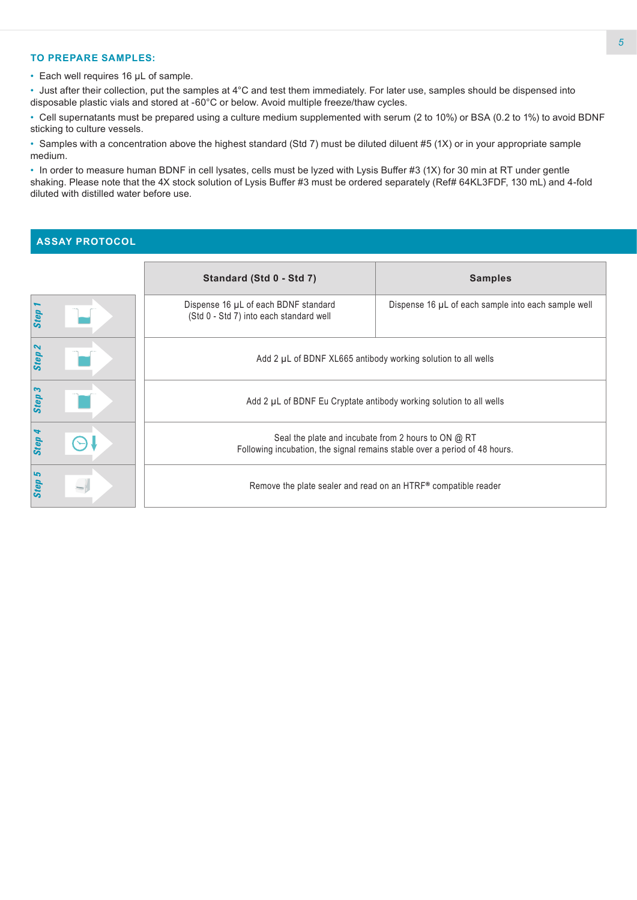#### **TO PREPARE SAMPLES:**

• Each well requires 16 µL of sample.

• Just after their collection, put the samples at 4°C and test them immediately. For later use, samples should be dispensed into disposable plastic vials and stored at -60°C or below. Avoid multiple freeze/thaw cycles.

• Cell supernatants must be prepared using a culture medium supplemented with serum (2 to 10%) or BSA (0.2 to 1%) to avoid BDNF sticking to culture vessels.

• Samples with a concentration above the highest standard (Std 7) must be diluted diluent #5 (1X) or in your appropriate sample medium.

• In order to measure human BDNF in cell lysates, cells must be lyzed with Lysis Buffer #3 (1X) for 30 min at RT under gentle shaking. Please note that the 4X stock solution of Lysis Buffer #3 must be ordered separately (Ref# 64KL3FDF, 130 mL) and 4-fold diluted with distilled water before use.

# **ASSAY PROTOCOL**

|                   | Standard (Std 0 - Std 7)                                                                                                          | <b>Samples</b>                                      |  |  |  |
|-------------------|-----------------------------------------------------------------------------------------------------------------------------------|-----------------------------------------------------|--|--|--|
| <b>Step</b>       | Dispense 16 µL of each BDNF standard<br>(Std 0 - Std 7) into each standard well                                                   | Dispense 16 µL of each sample into each sample well |  |  |  |
| Step <sub>2</sub> | Add 2 µL of BDNF XL665 antibody working solution to all wells                                                                     |                                                     |  |  |  |
| Step 3            | Add 2 µL of BDNF Eu Cryptate antibody working solution to all wells                                                               |                                                     |  |  |  |
| Step 4            | Seal the plate and incubate from 2 hours to ON @ RT<br>Following incubation, the signal remains stable over a period of 48 hours. |                                                     |  |  |  |
| Step 5            | Remove the plate sealer and read on an HTRF® compatible reader                                                                    |                                                     |  |  |  |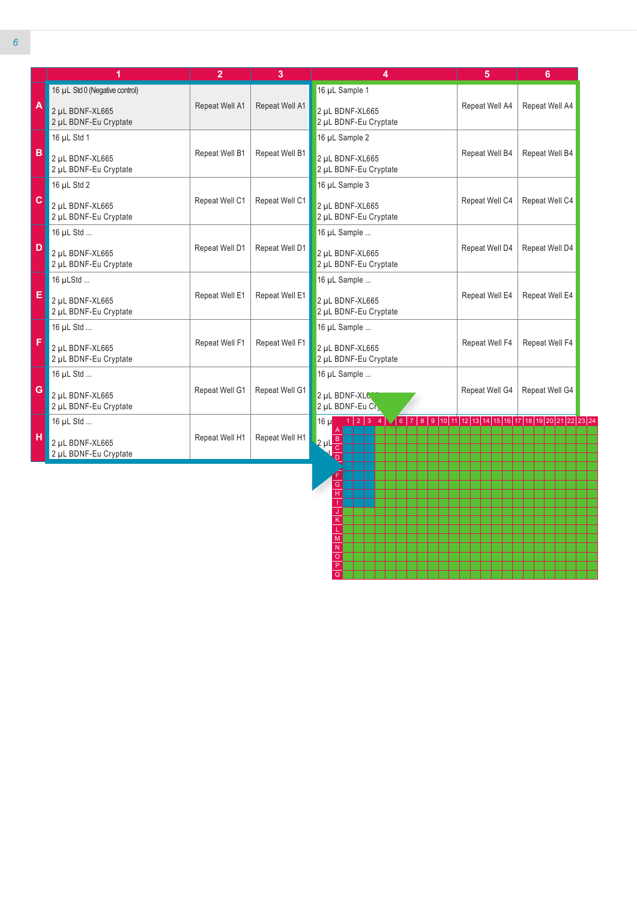|              | 1                                        | $\overline{2}$ | 3              | 4                                                                                                                           | 5              | 6              |  |
|--------------|------------------------------------------|----------------|----------------|-----------------------------------------------------------------------------------------------------------------------------|----------------|----------------|--|
|              | 16 µL Std 0 (Negative control)           |                |                | 16 µL Sample 1                                                                                                              |                |                |  |
| A            | 2 µL BDNF-XL665<br>2 µL BDNF-Eu Cryptate | Repeat Well A1 | Repeat Well A1 | 2 µL BDNF-XL665<br>2 µL BDNF-Eu Cryptate                                                                                    | Repeat Well A4 | Repeat Well A4 |  |
|              | 16 µL Std 1                              |                |                | 16 µL Sample 2                                                                                                              |                |                |  |
| B            | 2 µL BDNF-XL665<br>2 µL BDNF-Eu Cryptate | Repeat Well B1 | Repeat Well B1 | 2 µL BDNF-XL665<br>2 µL BDNF-Eu Cryptate                                                                                    | Repeat Well B4 | Repeat Well B4 |  |
|              | 16 µL Std 2                              |                |                | 16 µL Sample 3                                                                                                              |                |                |  |
| $\mathbf{C}$ | 2 µL BDNF-XL665<br>2 µL BDNF-Eu Cryptate | Repeat Well C1 | Repeat Well C1 | 2 µL BDNF-XL665<br>2 µL BDNF-Eu Cryptate                                                                                    | Repeat Well C4 | Repeat Well C4 |  |
|              | 16 µL Std                                |                |                | 16 µL Sample                                                                                                                |                |                |  |
| D            | 2 µL BDNF-XL665<br>2 µL BDNF-Eu Cryptate | Repeat Well D1 | Repeat Well D1 | 2 µL BDNF-XL665<br>2 µL BDNF-Eu Cryptate                                                                                    | Repeat Well D4 | Repeat Well D4 |  |
|              | 16 µLStd                                 |                |                | 16 µL Sample                                                                                                                |                |                |  |
| E            | 2 uL BDNF-XL665<br>2 µL BDNF-Eu Cryptate | Repeat Well E1 | Repeat Well E1 | 2 uL BDNF-XL665<br>2 µL BDNF-Eu Cryptate                                                                                    | Repeat Well E4 | Repeat Well E4 |  |
|              | 16 µL Std                                |                |                | 16 µL Sample                                                                                                                |                |                |  |
| F            | 2 µL BDNF-XL665<br>2 µL BDNF-Eu Cryptate | Repeat Well F1 | Repeat Well F1 | 2 uL BDNF-XL665<br>2 µL BDNF-Eu Cryptate                                                                                    | Repeat Well F4 | Repeat Well F4 |  |
|              | 16 µL Std                                |                |                | 16 µL Sample                                                                                                                |                |                |  |
| G            | 2 µL BDNF-XL665<br>2 µL BDNF-Eu Cryptate | Repeat Well G1 | Repeat Well G1 | 2 µL BDNF-XL6<br>2 µL BDNF-Eu Cr,                                                                                           | Repeat Well G4 | Repeat Well G4 |  |
|              | 16 µL Std                                |                |                | $1   2   3   4 \sqrt{6   7   8   9   10   11   12   13   14   15   16   17   18   19   20   21   22   23   24}$<br>$16 \mu$ |                |                |  |
| н            | 2 µL BDNF-XL665<br>2 µL BDNF-Eu Cryptate | Repeat Well H1 | Repeat Well H1 | $2 \mu L \frac{B}{C}$                                                                                                       |                |                |  |

H I J K L M N O P Q